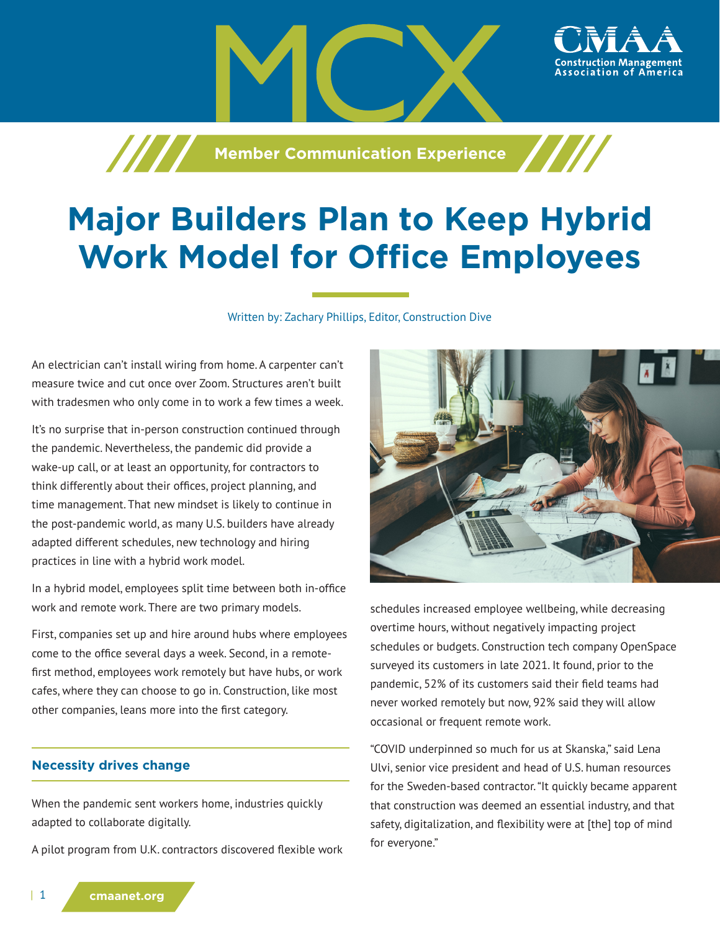**Manufacture 7 / / / Member Communication Experience** 

# **Major Builders Plan to Keep Hybrid Work Model for Office Employees**

Written by: Zachary Phillips, Editor, Construction Dive

An electrician can't install wiring from home. A carpenter can't measure twice and cut once over Zoom. Structures aren't built with tradesmen who only come in to work a few times a week.

It's no surprise that in-person construction continued through the pandemic. Nevertheless, the pandemic did provide a wake-up call, or at least an opportunity, for contractors to think differently about their offices, project planning, and time management. That new mindset is likely to continue in the post-pandemic world, as many U.S. builders have already adapted different schedules, new technology and hiring practices in line with a hybrid work model.

In a hybrid model, employees split time between both in-office work and remote work. There are two primary models.

First, companies set up and hire around hubs where employees come to the office several days a week. Second, in a remotefirst method, employees work remotely but have hubs, or work cafes, where they can choose to go in. Construction, like most other companies, leans more into the first category.

### **Necessity drives change**

When the pandemic sent workers home, industries quickly adapted to collaborate digitally.

A pilot program from U.K. contractors discovered flexible work



ssociation of

schedules increased employee wellbeing, while decreasing overtime hours, without negatively impacting project schedules or budgets. Construction tech company OpenSpace surveyed its customers in late 2021. It found, prior to the pandemic, 52% of its customers said their field teams had never worked remotely but now, 92% said they will allow occasional or frequent remote work.

"COVID underpinned so much for us at Skanska," said Lena Ulvi, senior vice president and head of U.S. human resources for the Sweden-based contractor. "It quickly became apparent that construction was deemed an essential industry, and that safety, digitalization, and flexibility were at [the] top of mind for everyone."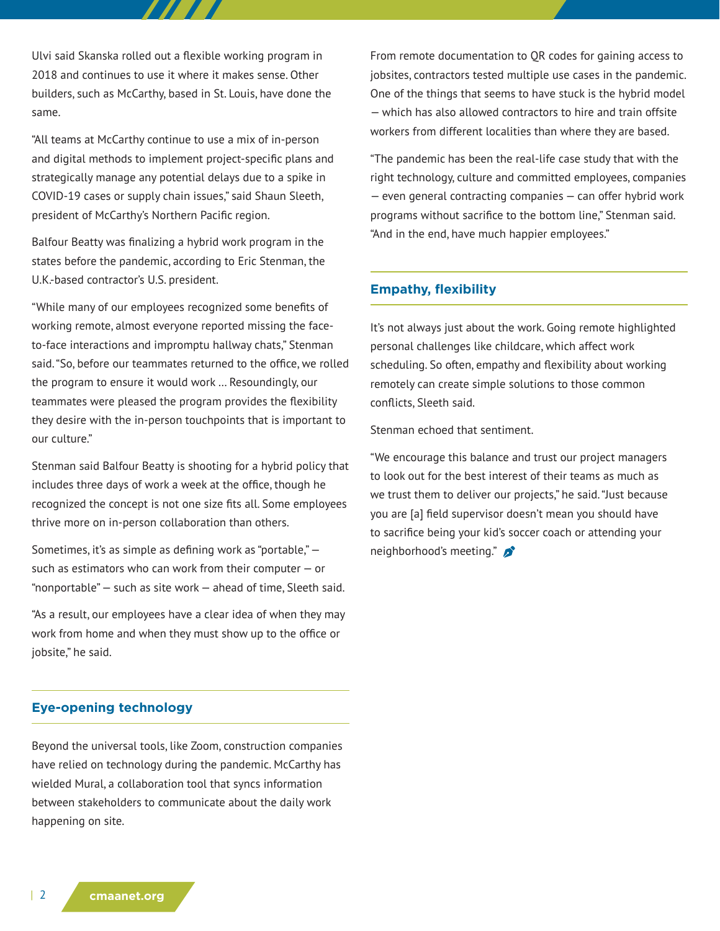Ulvi said Skanska rolled out a flexible working program in 2018 and continues to use it where it makes sense. Other builders, such as McCarthy, based in St. Louis, have done the same.

"All teams at McCarthy continue to use a mix of in-person and digital methods to implement project-specific plans and strategically manage any potential delays due to a spike in COVID-19 cases or supply chain issues," said Shaun Sleeth, president of McCarthy's Northern Pacific region.

Balfour Beatty was finalizing a hybrid work program in the states before the pandemic, according to Eric Stenman, the U.K.-based contractor's U.S. president.

"While many of our employees recognized some benefits of working remote, almost everyone reported missing the faceto-face interactions and impromptu hallway chats," Stenman said. "So, before our teammates returned to the office, we rolled the program to ensure it would work … Resoundingly, our teammates were pleased the program provides the flexibility they desire with the in-person touchpoints that is important to our culture."

Stenman said Balfour Beatty is shooting for a hybrid policy that includes three days of work a week at the office, though he recognized the concept is not one size fits all. Some employees thrive more on in-person collaboration than others.

Sometimes, it's as simple as defining work as "portable," such as estimators who can work from their computer — or "nonportable" — such as site work — ahead of time, Sleeth said.

"As a result, our employees have a clear idea of when they may work from home and when they must show up to the office or jobsite," he said.

## **Eye-opening technology**

Beyond the universal tools, like Zoom, construction companies have relied on technology during the pandemic. McCarthy has wielded Mural, a collaboration tool that syncs information between stakeholders to communicate about the daily work happening on site.

From remote documentation to QR codes for gaining access to jobsites, contractors tested multiple use cases in the pandemic. One of the things that seems to have stuck is the hybrid model — which has also allowed contractors to hire and train offsite workers from different localities than where they are based.

"The pandemic has been the real-life case study that with the right technology, culture and committed employees, companies — even general contracting companies — can offer hybrid work programs without sacrifice to the bottom line," Stenman said. "And in the end, have much happier employees."

## **Empathy, flexibility**

It's not always just about the work. Going remote highlighted personal challenges like childcare, which affect work scheduling. So often, empathy and flexibility about working remotely can create simple solutions to those common conflicts, Sleeth said.

Stenman echoed that sentiment.

"We encourage this balance and trust our project managers to look out for the best interest of their teams as much as we trust them to deliver our projects," he said. "Just because you are [a] field supervisor doesn't mean you should have to sacrifice being your kid's soccer coach or attending your neighborhood's meeting."